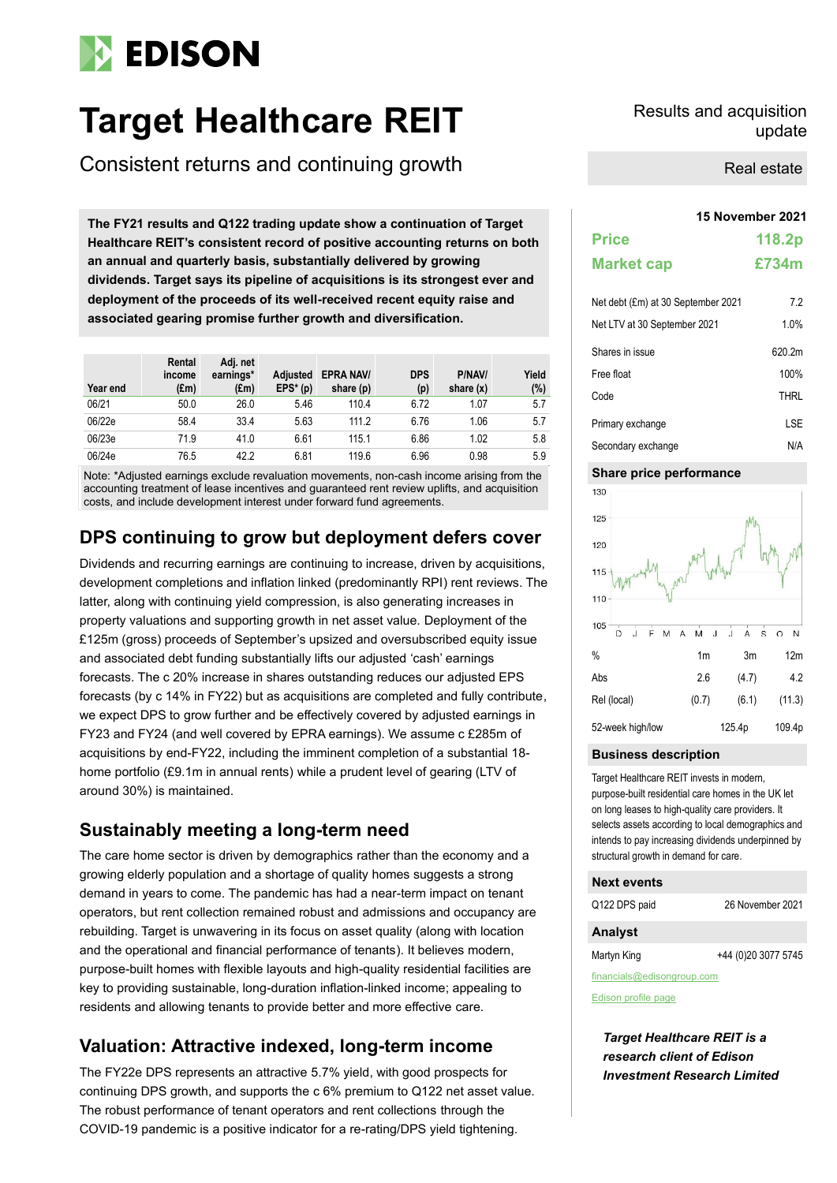# **EDISON**

## **Target Healthcare REIT** Results and acquisition

Consistent returns and continuing growth

**15 November 2021 The FY21 results and Q122 trading update show a continuation of Target Healthcare REIT's consistent record of positive accounting returns on both an annual and quarterly basis, substantially delivered by growing dividends. Target says its pipeline of acquisitions is its strongest ever and deployment of the proceeds of its well-received recent equity raise and associated gearing promise further growth and diversification.** 

| Year end | Rental<br>income<br>$(\text{Em})$ | Adj. net<br>earnings*<br>(£m) | <b>Adjusted</b><br>$EPS* (p)$ | <b>EPRA NAV/</b><br>share (p) | <b>DPS</b><br>(p) | P/NAV/<br>share $(x)$ | Yield<br>$(\%)$ |
|----------|-----------------------------------|-------------------------------|-------------------------------|-------------------------------|-------------------|-----------------------|-----------------|
| 06/21    | 50.0                              | 26.0                          | 5.46                          | 110.4                         | 6.72              | 1.07                  | 5.7             |
| 06/22e   | 58.4                              | 33.4                          | 5.63                          | 111.2                         | 6.76              | 1.06                  | 5.7             |
| 06/23e   | 71.9                              | 41.0                          | 6.61                          | 115.1                         | 6.86              | 1.02                  | 5.8             |
| 06/24e   | 76.5                              | 42.2                          | 6.81                          | 119.6                         | 6.96              | 0.98                  | 5.9             |

Note: \*Adjusted earnings exclude revaluation movements, non-cash income arising from the accounting treatment of lease incentives and guaranteed rent review uplifts, and acquisition costs, and include development interest under forward fund agreements.

### **DPS continuing to grow but deployment defers cover**

Dividends and recurring earnings are continuing to increase, driven by acquisitions, development completions and inflation linked (predominantly RPI) rent reviews. The latter, along with continuing yield compression, is also generating increases in property valuations and supporting growth in net asset value. Deployment of the £125m (gross) proceeds of September's upsized and oversubscribed equity issue and associated debt funding substantially lifts our adjusted 'cash' earnings forecasts. The c 20% increase in shares outstanding reduces our adjusted EPS forecasts (by c 14% in FY22) but as acquisitions are completed and fully contribute, we expect DPS to grow further and be effectively covered by adjusted earnings in FY23 and FY24 (and well covered by EPRA earnings). We assume c £285m of acquisitions by end-FY22, including the imminent completion of a substantial 18 home portfolio (£9.1m in annual rents) while a prudent level of gearing (LTV of around 30%) is maintained.

### **Sustainably meeting a long-term need**

The care home sector is driven by demographics rather than the economy and a growing elderly population and a shortage of quality homes suggests a strong demand in years to come. The pandemic has had a near-term impact on tenant operators, but rent collection remained robust and admissions and occupancy are rebuilding. Target is unwavering in its focus on asset quality (along with location and the operational and financial performance of tenants). It believes modern, purpose-built homes with flexible layouts and high-quality residential facilities are key to providing sustainable, long-duration inflation-linked income; appealing to residents and allowing tenants to provide better and more effective care.

### **Valuation: Attractive indexed, long-term income**

The FY22e DPS represents an attractive 5.7% yield, with good prospects for continuing DPS growth, and supports the c 6% premium to Q122 net asset value. The robust performance of tenant operators and rent collections through the COVID-19 pandemic is a positive indicator for a re-rating/DPS yield tightening.

## update

Real estate

| <b>Price</b>                       | 118.2p      |
|------------------------------------|-------------|
| <b>Market cap</b>                  | £734m       |
| Net debt (£m) at 30 September 2021 | 7.2         |
| Net LTV at 30 September 2021       | 1.0%        |
| Shares in issue                    | 620.2m      |
| Free float                         | 100%        |
| Code                               | <b>THRL</b> |
| Primary exchange                   | I SF        |
| Secondary exchange                 | N/A         |

#### **Share price performance**



#### **Business description**

Target Healthcare REIT invests in modern, purpose-built residential care homes in the UK let on long leases to high-quality care providers. It selects assets according to local demographics and intends to pay increasing dividends underpinned by structural growth in demand for care.

#### **Next events**

Q122 DPS paid 26 November 2021

#### **Analyst**

Martyn King **+44** (0)20 3077 5745

financials@edisongroup.com

[Edison profile page](http://www.edisoninvestmentresearch.co.uk/)

*Target Healthcare REIT is a research client of Edison Investment Research Limited*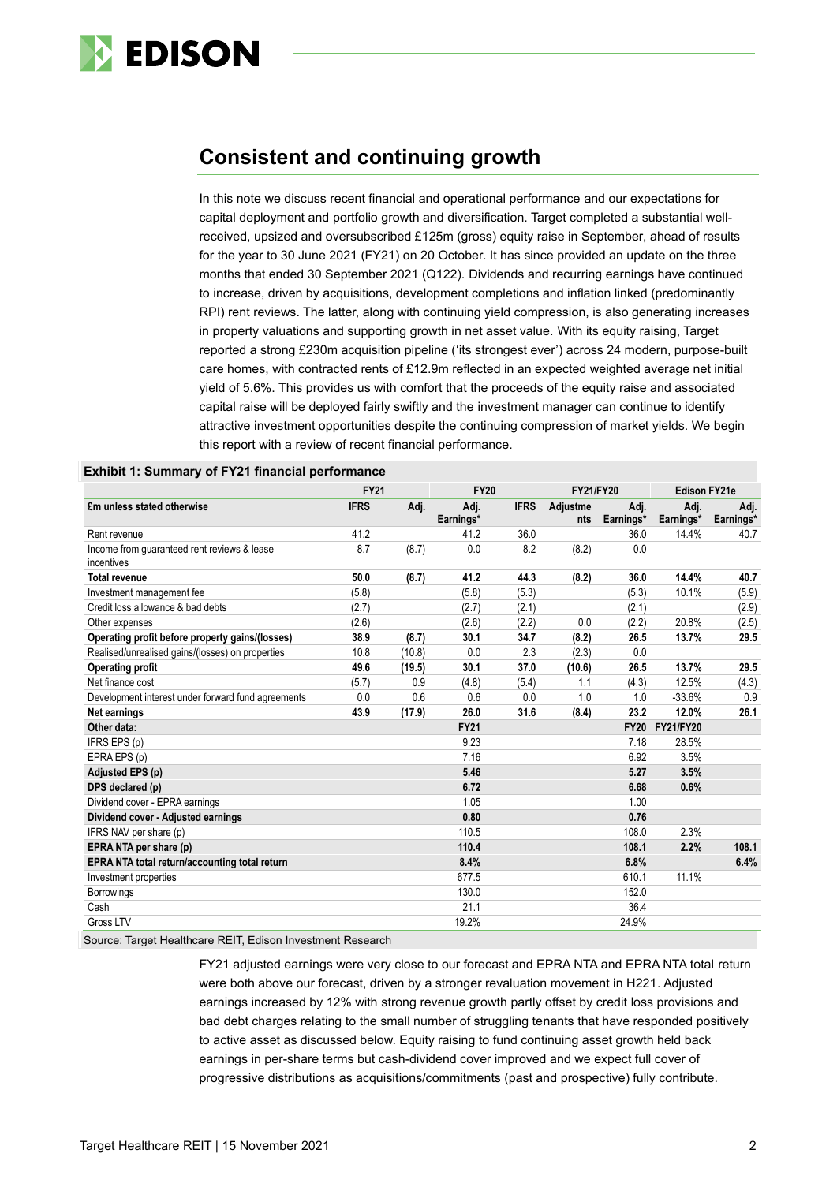

### **Consistent and continuing growth**

In this note we discuss recent financial and operational performance and our expectations for capital deployment and portfolio growth and diversification. Target completed a substantial wellreceived, upsized and oversubscribed £125m (gross) equity raise in September, ahead of results for the year to 30 June 2021 (FY21) on 20 October. It has since provided an update on the three months that ended 30 September 2021 (Q122). Dividends and recurring earnings have continued to increase, driven by acquisitions, development completions and inflation linked (predominantly RPI) rent reviews. The latter, along with continuing yield compression, is also generating increases in property valuations and supporting growth in net asset value. With its equity raising, Target reported a strong £230m acquisition pipeline ('its strongest ever') across 24 modern, purpose-built care homes, with contracted rents of £12.9m reflected in an expected weighted average net initial yield of 5.6%. This provides us with comfort that the proceeds of the equity raise and associated capital raise will be deployed fairly swiftly and the investment manager can continue to identify attractive investment opportunities despite the continuing compression of market yields. We begin this report with a review of recent financial performance.

|                                                           | <b>FY21</b> |        | <b>FY20</b>       |             | <b>FY21/FY20</b> |                   |                   | <b>Edison FY21e</b> |  |
|-----------------------------------------------------------|-------------|--------|-------------------|-------------|------------------|-------------------|-------------------|---------------------|--|
| £m unless stated otherwise                                | <b>IFRS</b> | Adj.   | Adj.<br>Earnings* | <b>IFRS</b> | Adjustme<br>nts  | Adj.<br>Earnings* | Adj.<br>Earnings* | Adj.<br>Earnings*   |  |
| Rent revenue                                              | 41.2        |        | 41.2              | 36.0        |                  | 36.0              | 14.4%             | 40.7                |  |
| Income from guaranteed rent reviews & lease<br>incentives | 8.7         | (8.7)  | 0.0               | 8.2         | (8.2)            | 0.0               |                   |                     |  |
| <b>Total revenue</b>                                      | 50.0        | (8.7)  | 41.2              | 44.3        | (8.2)            | 36.0              | 14.4%             | 40.7                |  |
| Investment management fee                                 | (5.8)       |        | (5.8)             | (5.3)       |                  | (5.3)             | 10.1%             | (5.9)               |  |
| Credit loss allowance & bad debts                         | (2.7)       |        | (2.7)             | (2.1)       |                  | (2.1)             |                   | (2.9)               |  |
| Other expenses                                            | (2.6)       |        | (2.6)             | (2.2)       | 0.0              | (2.2)             | 20.8%             | (2.5)               |  |
| Operating profit before property gains/(losses)           | 38.9        | (8.7)  | 30.1              | 34.7        | (8.2)            | 26.5              | 13.7%             | 29.5                |  |
| Realised/unrealised gains/(losses) on properties          | 10.8        | (10.8) | 0.0               | 2.3         | (2.3)            | 0.0               |                   |                     |  |
| <b>Operating profit</b>                                   | 49.6        | (19.5) | 30.1              | 37.0        | (10.6)           | 26.5              | 13.7%             | 29.5                |  |
| Net finance cost                                          | (5.7)       | 0.9    | (4.8)             | (5.4)       | 1.1              | (4.3)             | 12.5%             | (4.3)               |  |
| Development interest under forward fund agreements        | 0.0         | 0.6    | 0.6               | 0.0         | 1.0              | 1.0               | $-33.6%$          | 0.9                 |  |
| Net earnings                                              | 43.9        | (17.9) | 26.0              | 31.6        | (8.4)            | 23.2              | 12.0%             | 26.1                |  |
| Other data:                                               |             |        | <b>FY21</b>       |             |                  | <b>FY20</b>       | <b>FY21/FY20</b>  |                     |  |
| IFRS EPS (p)                                              |             |        | 9.23              |             |                  | 7.18              | 28.5%             |                     |  |
| EPRA EPS (p)                                              |             |        | 7.16              |             |                  | 6.92              | 3.5%              |                     |  |
| Adjusted EPS (p)                                          |             |        | 5.46              |             |                  | 5.27              | 3.5%              |                     |  |
| DPS declared (p)                                          |             |        | 6.72              |             |                  | 6.68              | 0.6%              |                     |  |
| Dividend cover - EPRA earnings                            |             |        | 1.05              |             |                  | 1.00              |                   |                     |  |
| Dividend cover - Adjusted earnings                        |             |        | 0.80              |             |                  | 0.76              |                   |                     |  |
| IFRS NAV per share (p)                                    |             |        | 110.5             |             |                  | 108.0             | 2.3%              |                     |  |
| EPRA NTA per share (p)                                    |             |        | 110.4             |             |                  | 108.1             | 2.2%              | 108.1               |  |
| EPRA NTA total return/accounting total return             |             |        | 8.4%              |             |                  | 6.8%              |                   | 6.4%                |  |
| Investment properties                                     |             |        | 677.5             |             |                  | 610.1             | 11.1%             |                     |  |
| <b>Borrowings</b>                                         |             |        | 130.0             |             |                  | 152.0             |                   |                     |  |
| Cash                                                      |             |        | 21.1              |             |                  | 36.4              |                   |                     |  |
| Gross LTV                                                 |             |        | 19.2%             |             |                  | 24.9%             |                   |                     |  |

#### **Exhibit 1: Summary of FY21 financial performance**

Source: Target Healthcare REIT, Edison Investment Research

FY21 adjusted earnings were very close to our forecast and EPRA NTA and EPRA NTA total return were both above our forecast, driven by a stronger revaluation movement in H221. Adjusted earnings increased by 12% with strong revenue growth partly offset by credit loss provisions and bad debt charges relating to the small number of struggling tenants that have responded positively to active asset as discussed below. Equity raising to fund continuing asset growth held back earnings in per-share terms but cash-dividend cover improved and we expect full cover of progressive distributions as acquisitions/commitments (past and prospective) fully contribute.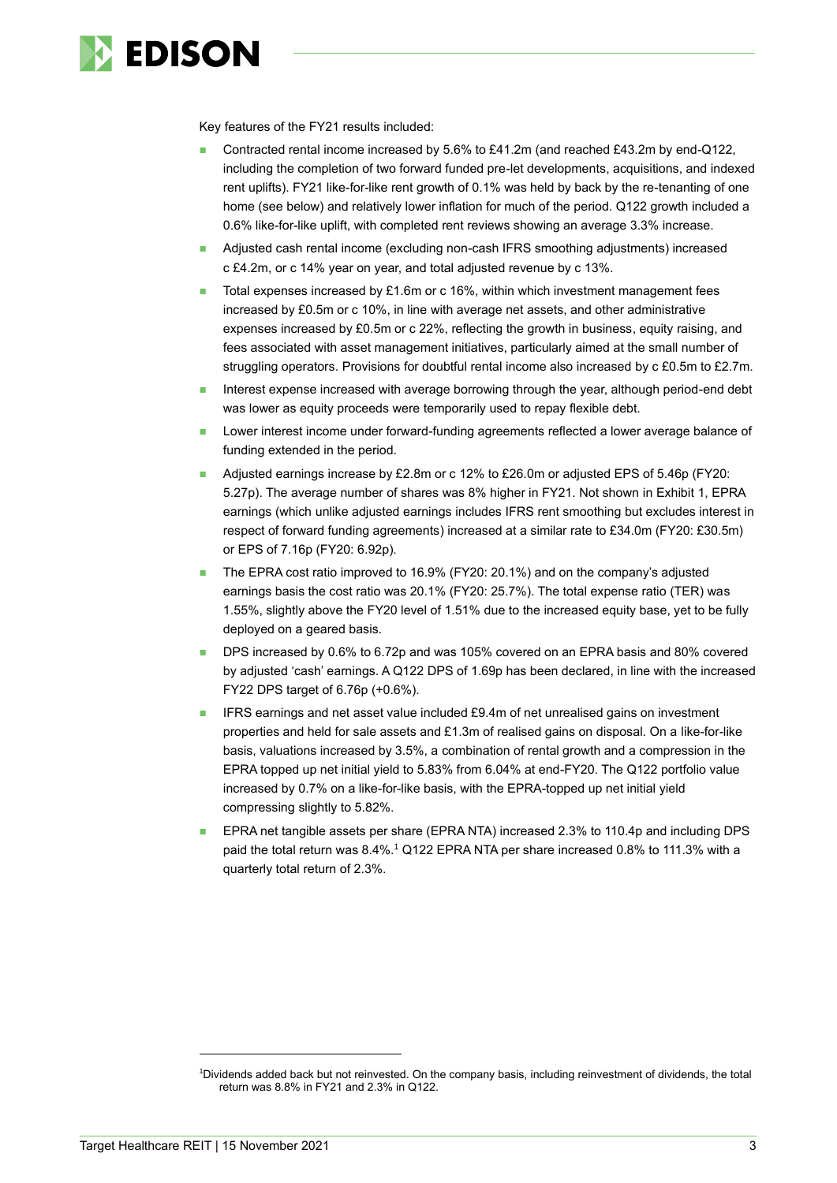

Key features of the FY21 results included:

- Contracted rental income increased by 5.6% to £41.2m (and reached £43.2m by end-Q122, including the completion of two forward funded pre-let developments, acquisitions, and indexed rent uplifts). FY21 like-for-like rent growth of 0.1% was held by back by the re-tenanting of one home (see below) and relatively lower inflation for much of the period. Q122 growth included a 0.6% like-for-like uplift, with completed rent reviews showing an average 3.3% increase.
- ◼ Adjusted cash rental income (excluding non-cash IFRS smoothing adjustments) increased c £4.2m, or c 14% year on year, and total adjusted revenue by c 13%.
- Total expenses increased by £1.6m or c 16%, within which investment management fees increased by £0.5m or c 10%, in line with average net assets, and other administrative expenses increased by £0.5m or c 22%, reflecting the growth in business, equity raising, and fees associated with asset management initiatives, particularly aimed at the small number of struggling operators. Provisions for doubtful rental income also increased by c £0.5m to £2.7m.
- Interest expense increased with average borrowing through the year, although period-end debt was lower as equity proceeds were temporarily used to repay flexible debt.
- Lower interest income under forward-funding agreements reflected a lower average balance of funding extended in the period.
- Adjusted earnings increase by £2.8m or c 12% to £26.0m or adjusted EPS of 5.46p (FY20: 5.27p). The average number of shares was 8% higher in FY21. Not shown in Exhibit 1, EPRA earnings (which unlike adjusted earnings includes IFRS rent smoothing but excludes interest in respect of forward funding agreements) increased at a similar rate to £34.0m (FY20: £30.5m) or EPS of 7.16p (FY20: 6.92p).
- The EPRA cost ratio improved to 16.9% (FY20: 20.1%) and on the company's adjusted earnings basis the cost ratio was 20.1% (FY20: 25.7%). The total expense ratio (TER) was 1.55%, slightly above the FY20 level of 1.51% due to the increased equity base, yet to be fully deployed on a geared basis.
- DPS increased by 0.6% to 6.72p and was 105% covered on an EPRA basis and 80% covered by adjusted 'cash' earnings. A Q122 DPS of 1.69p has been declared, in line with the increased FY22 DPS target of 6.76p (+0.6%).
- IFRS earnings and net asset value included £9.4m of net unrealised gains on investment properties and held for sale assets and £1.3m of realised gains on disposal. On a like-for-like basis, valuations increased by 3.5%, a combination of rental growth and a compression in the EPRA topped up net initial yield to 5.83% from 6.04% at end-FY20. The Q122 portfolio value increased by 0.7% on a like-for-like basis, with the EPRA-topped up net initial yield compressing slightly to 5.82%.
- EPRA net tangible assets per share (EPRA NTA) increased 2.3% to 110.4p and including DPS paid the total return was 8.4%. <sup>1</sup> Q122 EPRA NTA per share increased 0.8% to 111.3% with a quarterly total return of 2.3%.

<sup>1</sup>Dividends added back but not reinvested. On the company basis, including reinvestment of dividends, the total return was 8.8% in FY21 and 2.3% in Q122.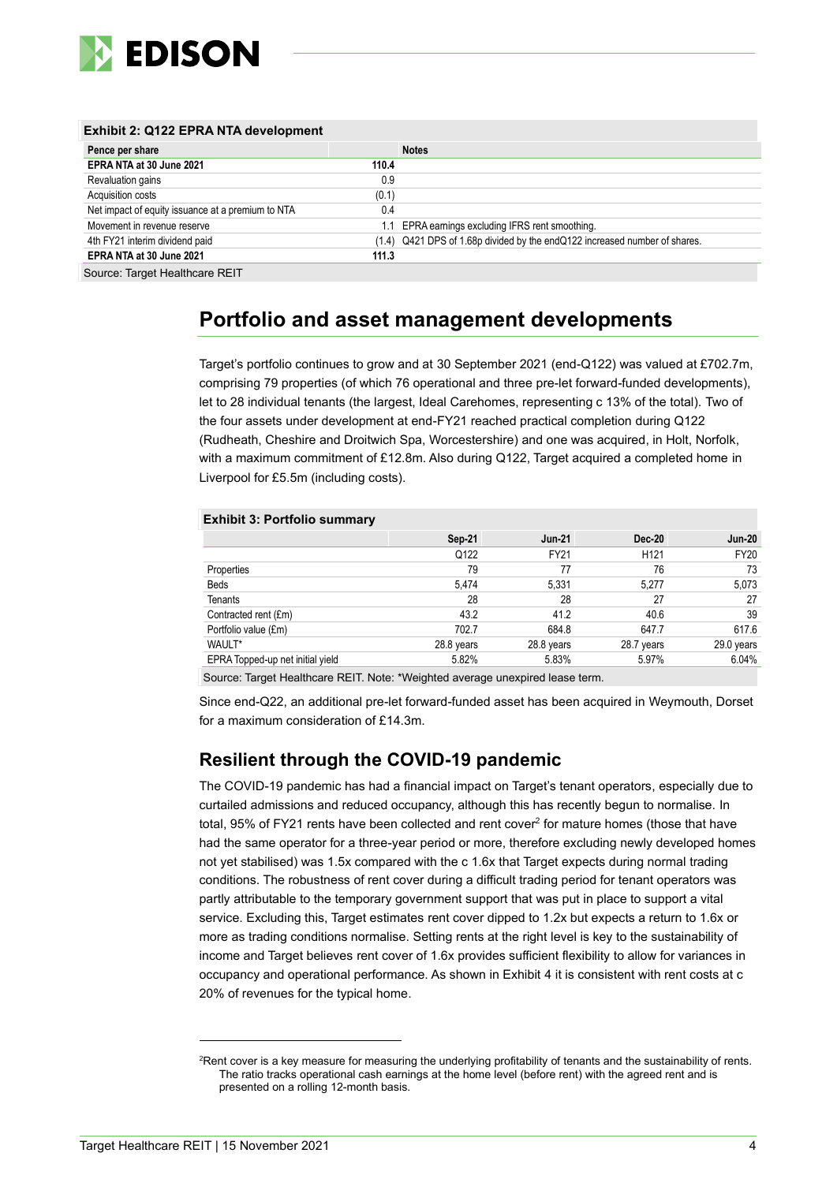

| Exhibit 2: Q122 EPRA NTA development              |       |                                                                            |  |  |  |  |  |  |  |
|---------------------------------------------------|-------|----------------------------------------------------------------------------|--|--|--|--|--|--|--|
| Pence per share                                   |       | <b>Notes</b>                                                               |  |  |  |  |  |  |  |
| EPRA NTA at 30 June 2021                          | 110.4 |                                                                            |  |  |  |  |  |  |  |
| Revaluation gains                                 | 0.9   |                                                                            |  |  |  |  |  |  |  |
| Acquisition costs                                 | (0.1) |                                                                            |  |  |  |  |  |  |  |
| Net impact of equity issuance at a premium to NTA | 0.4   |                                                                            |  |  |  |  |  |  |  |
| Movement in revenue reserve                       |       | 1.1 EPRA earnings excluding IFRS rent smoothing.                           |  |  |  |  |  |  |  |
| 4th FY21 interim dividend paid                    |       | (1.4) Q421 DPS of 1.68p divided by the endQ122 increased number of shares. |  |  |  |  |  |  |  |
| EPRA NTA at 30 June 2021                          | 111.3 |                                                                            |  |  |  |  |  |  |  |
| $\sim$ $\tau$ $\cdots$ $\sim$ $\sim$              |       |                                                                            |  |  |  |  |  |  |  |

Source: Target Healthcare REIT

## **Portfolio and asset management developments**

Target's portfolio continues to grow and at 30 September 2021 (end-Q122) was valued at £702.7m, comprising 79 properties (of which 76 operational and three pre-let forward-funded developments), let to 28 individual tenants (the largest, Ideal Carehomes, representing c 13% of the total). Two of the four assets under development at end-FY21 reached practical completion during Q122 (Rudheath, Cheshire and Droitwich Spa, Worcestershire) and one was acquired, in Holt, Norfolk, with a maximum commitment of £12.8m. Also during Q122, Target acquired a completed home in Liverpool for £5.5m (including costs).

#### **Exhibit 3: Portfolio summary**

|                                  | Sep-21     | <b>Jun 21</b> | <b>Dec-20</b>    | <b>Jun-20</b> |
|----------------------------------|------------|---------------|------------------|---------------|
|                                  | Q122       | FY21          | H <sub>121</sub> | <b>FY20</b>   |
| Properties                       | 79         | 77            | 76               | 73            |
| <b>Beds</b>                      | 5.474      | 5,331         | 5.277            | 5,073         |
| <b>Tenants</b>                   | 28         | 28            | 27               | 27            |
| Contracted rent (£m)             | 43.2       | 41.2          | 40.6             | 39            |
| Portfolio value (£m)             | 702.7      | 684.8         | 647.7            | 617.6         |
| WAULT*                           | 28.8 years | 28.8 years    | 28.7 years       | 29.0 years    |
| EPRA Topped-up net initial yield | 5.82%      | 5.83%         | 5.97%            | 6.04%         |

Source: Target Healthcare REIT. Note: \*Weighted average unexpired lease term.

Since end-Q22, an additional pre-let forward-funded asset has been acquired in Weymouth, Dorset for a maximum consideration of £14.3m.

### **Resilient through the COVID-19 pandemic**

The COVID-19 pandemic has had a financial impact on Target's tenant operators, especially due to curtailed admissions and reduced occupancy, although this has recently begun to normalise. In total, 95% of FY21 rents have been collected and rent cover<sup>2</sup> for mature homes (those that have had the same operator for a three-year period or more, therefore excluding newly developed homes not yet stabilised) was 1.5x compared with the c 1.6x that Target expects during normal trading conditions. The robustness of rent cover during a difficult trading period for tenant operators was partly attributable to the temporary government support that was put in place to support a vital service. Excluding this, Target estimates rent cover dipped to 1.2x but expects a return to 1.6x or more as trading conditions normalise. Setting rents at the right level is key to the sustainability of income and Target believes rent cover of 1.6x provides sufficient flexibility to allow for variances in occupancy and operational performance. As shown in Exhibit 4 it is consistent with rent costs at c 20% of revenues for the typical home.

<sup>&</sup>lt;sup>2</sup>Rent cover is a key measure for measuring the underlying profitability of tenants and the sustainability of rents. The ratio tracks operational cash earnings at the home level (before rent) with the agreed rent and is presented on a rolling 12-month basis.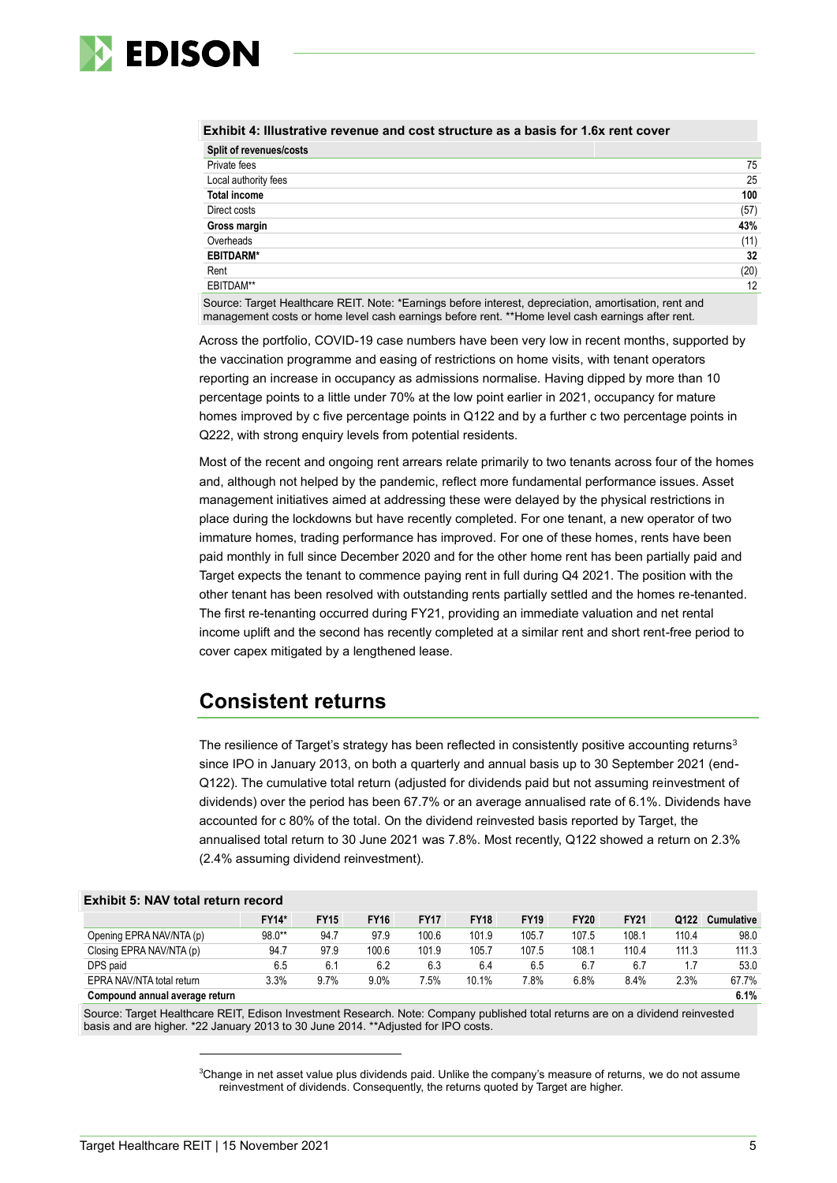

|                                                                                                          | Exhibit 4: Illustrative revenue and cost structure as a basis for 1.6x rent cover |  |  |  |  |  |  |  |  |
|----------------------------------------------------------------------------------------------------------|-----------------------------------------------------------------------------------|--|--|--|--|--|--|--|--|
| Split of revenues/costs                                                                                  |                                                                                   |  |  |  |  |  |  |  |  |
| Private fees                                                                                             | 75                                                                                |  |  |  |  |  |  |  |  |
| Local authority fees                                                                                     | 25                                                                                |  |  |  |  |  |  |  |  |
| <b>Total income</b>                                                                                      | 100                                                                               |  |  |  |  |  |  |  |  |
| Direct costs                                                                                             | (57)                                                                              |  |  |  |  |  |  |  |  |
| Gross margin                                                                                             | 43%                                                                               |  |  |  |  |  |  |  |  |
| Overheads                                                                                                | (11)                                                                              |  |  |  |  |  |  |  |  |
| <b>EBITDARM*</b>                                                                                         | 32                                                                                |  |  |  |  |  |  |  |  |
| Rent                                                                                                     | (20)                                                                              |  |  |  |  |  |  |  |  |
| EBITDAM**                                                                                                | 12                                                                                |  |  |  |  |  |  |  |  |
| Cornear Tennet Haeltheans DEIT Nictor & Feminence before interest planneristics, and other than next and |                                                                                   |  |  |  |  |  |  |  |  |

Source: Target Healthcare REIT. Note: \*Earnings before interest, depreciation, amortisation, rent and management costs or home level cash earnings before rent. \*\*Home level cash earnings after rent.

Across the portfolio, COVID-19 case numbers have been very low in recent months, supported by the vaccination programme and easing of restrictions on home visits, with tenant operators reporting an increase in occupancy as admissions normalise. Having dipped by more than 10 percentage points to a little under 70% at the low point earlier in 2021, occupancy for mature homes improved by c five percentage points in Q122 and by a further c two percentage points in Q222, with strong enquiry levels from potential residents.

Most of the recent and ongoing rent arrears relate primarily to two tenants across four of the homes and, although not helped by the pandemic, reflect more fundamental performance issues. Asset management initiatives aimed at addressing these were delayed by the physical restrictions in place during the lockdowns but have recently completed. For one tenant, a new operator of two immature homes, trading performance has improved. For one of these homes, rents have been paid monthly in full since December 2020 and for the other home rent has been partially paid and Target expects the tenant to commence paying rent in full during Q4 2021. The position with the other tenant has been resolved with outstanding rents partially settled and the homes re-tenanted. The first re-tenanting occurred during FY21, providing an immediate valuation and net rental income uplift and the second has recently completed at a similar rent and short rent-free period to cover capex mitigated by a lengthened lease.

### **Consistent returns**

The resilience of Target's strategy has been reflected in consistently positive accounting returns<sup>3</sup> since IPO in January 2013, on both a quarterly and annual basis up to 30 September 2021 (end-Q122). The cumulative total return (adjusted for dividends paid but not assuming reinvestment of dividends) over the period has been 67.7% or an average annualised rate of 6.1%. Dividends have accounted for c 80% of the total. On the dividend reinvested basis reported by Target, the annualised total return to 30 June 2021 was 7.8%. Most recently, Q122 showed a return on 2.3% (2.4% assuming dividend reinvestment).

| Exhibit 5: NAV total return record |              |             |             |             |             |             |             |             |       |            |  |  |
|------------------------------------|--------------|-------------|-------------|-------------|-------------|-------------|-------------|-------------|-------|------------|--|--|
|                                    | <b>FY14*</b> | <b>FY15</b> | <b>FY16</b> | <b>FY17</b> | <b>FY18</b> | <b>FY19</b> | <b>FY20</b> | <b>FY21</b> | Q122  | Cumulative |  |  |
| Opening EPRA NAV/NTA (p)           | 98.0**       | 94.7        | 97.9        | 100.6       | 101.9       | 105.7       | 107.5       | 108.1       | 110.4 | 98.0       |  |  |
| Closing EPRA NAV/NTA (p)           | 94.7         | 97.9        | 100.6       | 101.9       | 105.7       | 107.5       | 108.1       | 110.4       | 111.3 | 111.3      |  |  |
| DPS paid                           | 6.5          | 6.1         | 6.2         | 6.3         | 6.4         | 6.5         | 6.7         | 6.7         |       | 53.0       |  |  |
| EPRA NAV/NTA total return          | 3.3%         | 9.7%        | 9.0%        | 7.5%        | 10.1%       | 7.8%        | 6.8%        | 8.4%        | 2.3%  | 67.7%      |  |  |
| Compound annual average return     |              |             |             |             |             |             |             |             |       | 6.1%       |  |  |

Source: Target Healthcare REIT, Edison Investment Research. Note: Company published total returns are on a dividend reinvested basis and are higher. \*22 January 2013 to 30 June 2014. \*\*Adjusted for IPO costs.

<sup>&</sup>lt;sup>3</sup>Change in net asset value plus dividends paid. Unlike the company's measure of returns, we do not assume reinvestment of dividends. Consequently, the returns quoted by Target are higher.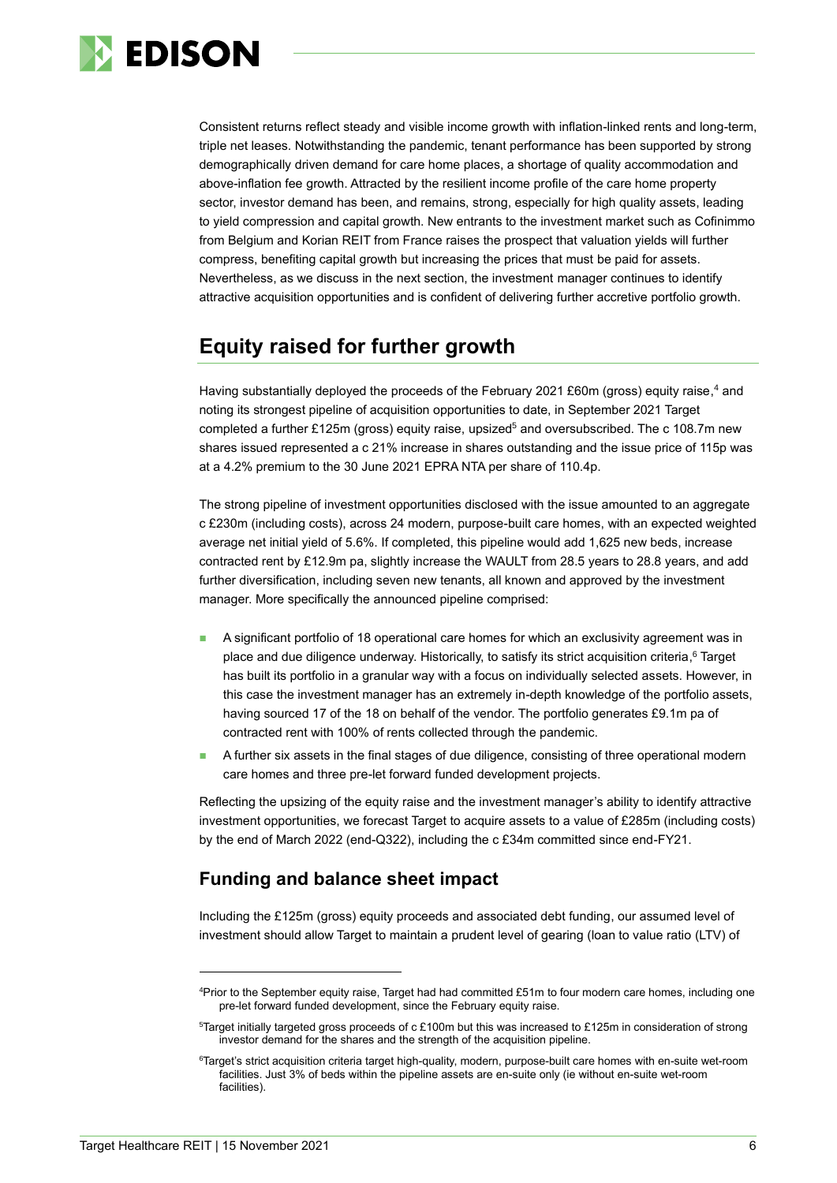

Consistent returns reflect steady and visible income growth with inflation-linked rents and long-term, triple net leases. Notwithstanding the pandemic, tenant performance has been supported by strong demographically driven demand for care home places, a shortage of quality accommodation and above-inflation fee growth. Attracted by the resilient income profile of the care home property sector, investor demand has been, and remains, strong, especially for high quality assets, leading to yield compression and capital growth. New entrants to the investment market such as Cofinimmo from Belgium and Korian REIT from France raises the prospect that valuation yields will further compress, benefiting capital growth but increasing the prices that must be paid for assets. Nevertheless, as we discuss in the next section, the investment manager continues to identify attractive acquisition opportunities and is confident of delivering further accretive portfolio growth.

## **Equity raised for further growth**

Having substantially deployed the proceeds of the February 2021 £60m (gross) equity raise, <sup>4</sup> and noting its strongest pipeline of acquisition opportunities to date, in September 2021 Target completed a further £125m (gross) equity raise, upsized<sup>5</sup> and oversubscribed. The c 108.7m new shares issued represented a c 21% increase in shares outstanding and the issue price of 115p was at a 4.2% premium to the 30 June 2021 EPRA NTA per share of 110.4p.

The strong pipeline of investment opportunities disclosed with the issue amounted to an aggregate c £230m (including costs), across 24 modern, purpose-built care homes, with an expected weighted average net initial yield of 5.6%. If completed, this pipeline would add 1,625 new beds, increase contracted rent by £12.9m pa, slightly increase the WAULT from 28.5 years to 28.8 years, and add further diversification, including seven new tenants, all known and approved by the investment manager. More specifically the announced pipeline comprised:

- ◼ A significant portfolio of 18 operational care homes for which an exclusivity agreement was in place and due diligence underway. Historically, to satisfy its strict acquisition criteria, <sup>6</sup> Target has built its portfolio in a granular way with a focus on individually selected assets. However, in this case the investment manager has an extremely in-depth knowledge of the portfolio assets, having sourced 17 of the 18 on behalf of the vendor. The portfolio generates £9.1m pa of contracted rent with 100% of rents collected through the pandemic.
- ◼ A further six assets in the final stages of due diligence, consisting of three operational modern care homes and three pre-let forward funded development projects.

Reflecting the upsizing of the equity raise and the investment manager's ability to identify attractive investment opportunities, we forecast Target to acquire assets to a value of £285m (including costs) by the end of March 2022 (end-Q322), including the c £34m committed since end-FY21.

### **Funding and balance sheet impact**

Including the £125m (gross) equity proceeds and associated debt funding, our assumed level of investment should allow Target to maintain a prudent level of gearing (loan to value ratio (LTV) of

<sup>4</sup>Prior to the September equity raise, Target had had committed £51m to four modern care homes, including one pre-let forward funded development, since the February equity raise.

<sup>5</sup>Target initially targeted gross proceeds of c £100m but this was increased to £125m in consideration of strong investor demand for the shares and the strength of the acquisition pipeline.

<sup>6</sup>Target's strict acquisition criteria target high-quality, modern, purpose-built care homes with en-suite wet-room facilities. Just 3% of beds within the pipeline assets are en-suite only (ie without en-suite wet-room facilities).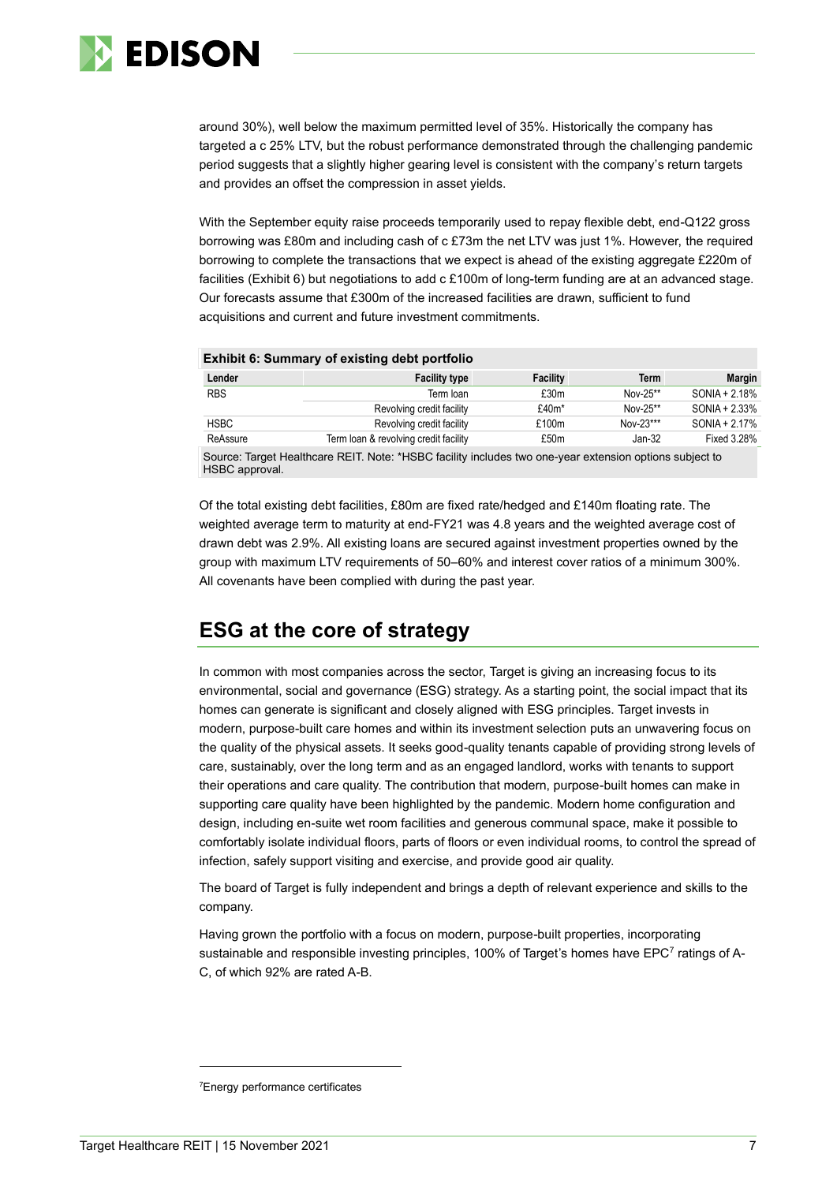

around 30%), well below the maximum permitted level of 35%. Historically the company has targeted a c 25% LTV, but the robust performance demonstrated through the challenging pandemic period suggests that a slightly higher gearing level is consistent with the company's return targets and provides an offset the compression in asset yields.

With the September equity raise proceeds temporarily used to repay flexible debt, end-Q122 gross borrowing was £80m and including cash of c £73m the net LTV was just 1%. However, the required borrowing to complete the transactions that we expect is ahead of the existing aggregate £220m of facilities (Exhibit 6) but negotiations to add c £100m of long-term funding are at an advanced stage. Our forecasts assume that £300m of the increased facilities are drawn, sufficient to fund acquisitions and current and future investment commitments.

| <b>Exhibit 6: Summary of existing debt portfolio</b> |                                       |                  |             |                  |  |  |  |  |  |  |
|------------------------------------------------------|---------------------------------------|------------------|-------------|------------------|--|--|--|--|--|--|
| Lender                                               | <b>Facility type</b>                  | <b>Facility</b>  | <b>Term</b> | <b>Margin</b>    |  |  |  |  |  |  |
| <b>RBS</b>                                           | Term loan                             | £30m             | Nov-25**    | $SONIA + 2.18\%$ |  |  |  |  |  |  |
|                                                      | Revolving credit facility             | $£40m*$          | Nov-25**    | SONIA + 2.33%    |  |  |  |  |  |  |
| <b>HSBC</b>                                          | Revolving credit facility             | £100m            | Nov-23***   | $SONIA + 2.17%$  |  |  |  |  |  |  |
| ReAssure                                             | Term loan & revolving credit facility | £50 <sub>m</sub> | Jan-32      | Fixed 3.28%      |  |  |  |  |  |  |

Source: Target Healthcare REIT. Note: \*HSBC facility includes two one-year extension options subject to HSBC approval.

Of the total existing debt facilities, £80m are fixed rate/hedged and £140m floating rate. The weighted average term to maturity at end-FY21 was 4.8 years and the weighted average cost of drawn debt was 2.9%. All existing loans are secured against investment properties owned by the group with maximum LTV requirements of 50–60% and interest cover ratios of a minimum 300%. All covenants have been complied with during the past year.

### **ESG at the core of strategy**

In common with most companies across the sector, Target is giving an increasing focus to its environmental, social and governance (ESG) strategy. As a starting point, the social impact that its homes can generate is significant and closely aligned with ESG principles. Target invests in modern, purpose-built care homes and within its investment selection puts an unwavering focus on the quality of the physical assets. It seeks good-quality tenants capable of providing strong levels of care, sustainably, over the long term and as an engaged landlord, works with tenants to support their operations and care quality. The contribution that modern, purpose-built homes can make in supporting care quality have been highlighted by the pandemic. Modern home configuration and design, including en-suite wet room facilities and generous communal space, make it possible to comfortably isolate individual floors, parts of floors or even individual rooms, to control the spread of infection, safely support visiting and exercise, and provide good air quality.

The board of Target is fully independent and brings a depth of relevant experience and skills to the company.

Having grown the portfolio with a focus on modern, purpose-built properties, incorporating sustainable and responsible investing principles, 100% of Target's homes have EPC<sup>7</sup> ratings of A-C, of which 92% are rated A-B.

<sup>7</sup>Energy performance certificates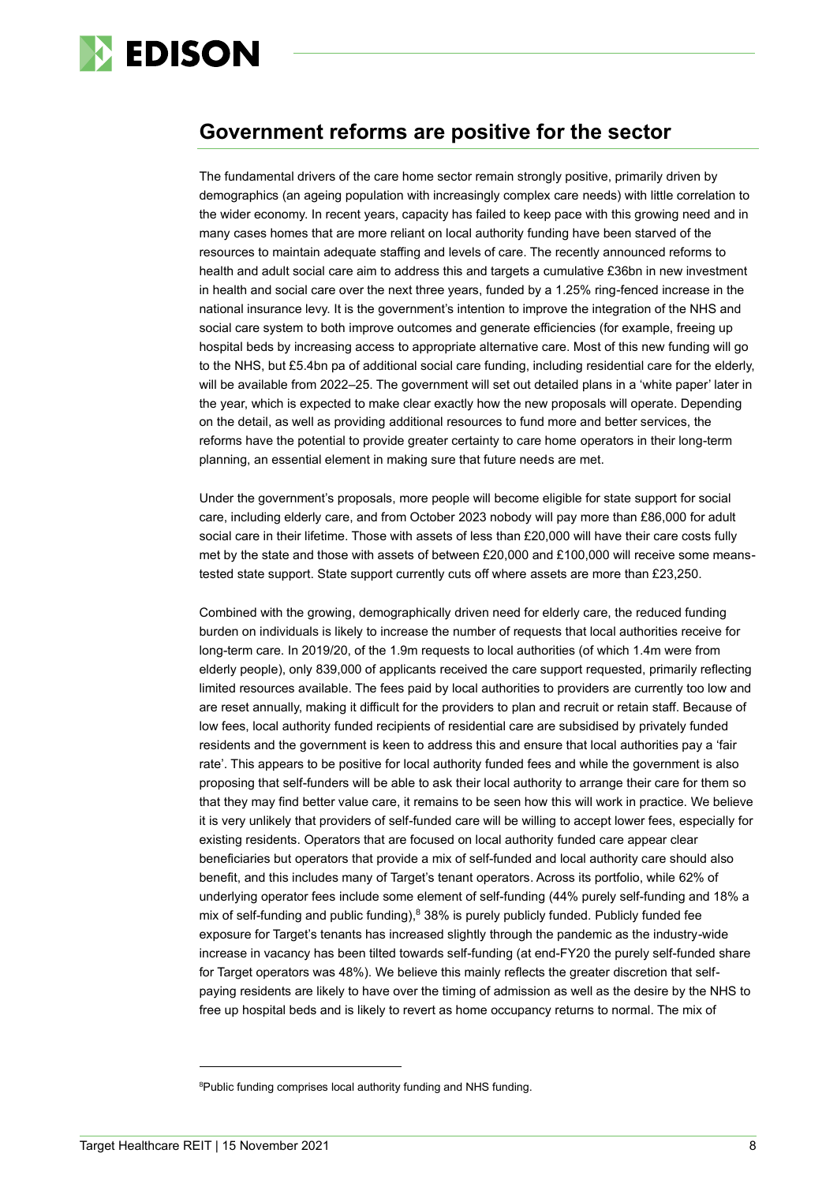

### **Government reforms are positive for the sector**

The fundamental drivers of the care home sector remain strongly positive, primarily driven by demographics (an ageing population with increasingly complex care needs) with little correlation to the wider economy. In recent years, capacity has failed to keep pace with this growing need and in many cases homes that are more reliant on local authority funding have been starved of the resources to maintain adequate staffing and levels of care. The recently announced reforms to health and adult social care aim to address this and targets a cumulative £36bn in new investment in health and social care over the next three years, funded by a 1.25% ring-fenced increase in the national insurance levy. It is the government's intention to improve the integration of the NHS and social care system to both improve outcomes and generate efficiencies (for example, freeing up hospital beds by increasing access to appropriate alternative care. Most of this new funding will go to the NHS, but £5.4bn pa of additional social care funding, including residential care for the elderly, will be available from 2022–25. The government will set out detailed plans in a 'white paper' later in the year, which is expected to make clear exactly how the new proposals will operate. Depending on the detail, as well as providing additional resources to fund more and better services, the reforms have the potential to provide greater certainty to care home operators in their long-term planning, an essential element in making sure that future needs are met.

Under the government's proposals, more people will become eligible for state support for social care, including elderly care, and from October 2023 nobody will pay more than £86,000 for adult social care in their lifetime. Those with assets of less than £20,000 will have their care costs fully met by the state and those with assets of between £20,000 and £100,000 will receive some meanstested state support. State support currently cuts off where assets are more than £23,250.

Combined with the growing, demographically driven need for elderly care, the reduced funding burden on individuals is likely to increase the number of requests that local authorities receive for long-term care. In 2019/20, of the 1.9m requests to local authorities (of which 1.4m were from elderly people), only 839,000 of applicants received the care support requested, primarily reflecting limited resources available. The fees paid by local authorities to providers are currently too low and are reset annually, making it difficult for the providers to plan and recruit or retain staff. Because of low fees, local authority funded recipients of residential care are subsidised by privately funded residents and the government is keen to address this and ensure that local authorities pay a 'fair rate'. This appears to be positive for local authority funded fees and while the government is also proposing that self-funders will be able to ask their local authority to arrange their care for them so that they may find better value care, it remains to be seen how this will work in practice. We believe it is very unlikely that providers of self-funded care will be willing to accept lower fees, especially for existing residents. Operators that are focused on local authority funded care appear clear beneficiaries but operators that provide a mix of self-funded and local authority care should also benefit, and this includes many of Target's tenant operators. Across its portfolio, while 62% of underlying operator fees include some element of self-funding (44% purely self-funding and 18% a mix of self-funding and public funding), $838\%$  is purely publicly funded. Publicly funded fee exposure for Target's tenants has increased slightly through the pandemic as the industry-wide increase in vacancy has been tilted towards self-funding (at end-FY20 the purely self-funded share for Target operators was 48%). We believe this mainly reflects the greater discretion that selfpaying residents are likely to have over the timing of admission as well as the desire by the NHS to free up hospital beds and is likely to revert as home occupancy returns to normal. The mix of

<sup>&</sup>lt;sup>8</sup>Public funding comprises local authority funding and NHS funding.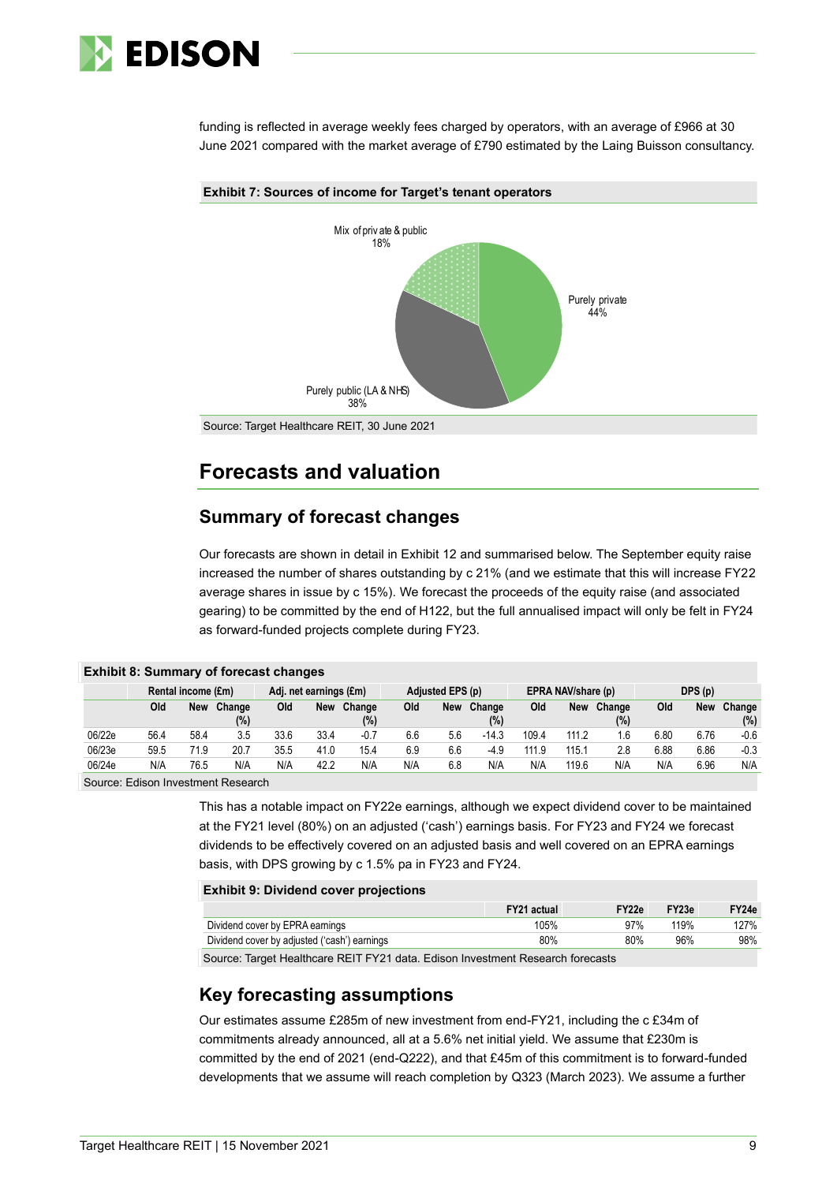

funding is reflected in average weekly fees charged by operators, with an average of £966 at 30 June 2021 compared with the market average of £790 estimated by the Laing Buisson consultancy.



### **Forecasts and valuation**

### **Summary of forecast changes**

Our forecasts are shown in detail in Exhibit 12 and summarised below. The September equity raise increased the number of shares outstanding by c 21% (and we estimate that this will increase FY22 average shares in issue by c 15%). We forecast the proceeds of the equity raise (and associated gearing) to be committed by the end of H122, but the full annualised impact will only be felt in FY24 as forward-funded projects complete during FY23.

|        | <b>EXILDIT 8: Summary of forecast changes</b> |                    |        |      |                        |        |     |                  |         |       |                    |        |        |      |        |
|--------|-----------------------------------------------|--------------------|--------|------|------------------------|--------|-----|------------------|---------|-------|--------------------|--------|--------|------|--------|
|        |                                               | Rental income (£m) |        |      | Adj. net earnings (£m) |        |     | Adjusted EPS (p) |         |       | EPRA NAV/share (p) |        | DPS(p) |      |        |
|        | Old                                           | <b>New</b>         | Change | Old  | <b>New</b>             | Change | Old | <b>New</b>       | Change  | Old   | New                | Change | Old    | New  | Change |
|        |                                               |                    | (%)    |      |                        | (%)    |     |                  | (%)     |       |                    | (%)    |        |      | (%)    |
| 06/22e | 56.4                                          | 58.4               | 3.5    | 33.6 | 33.4                   | $-0.7$ | 6.6 | 5.6              | $-14.3$ | 109.4 | 111.2              | 1.6    | 6.80   | 6.76 | $-0.6$ |
| 06/23e | 59.5                                          | 71.9               | 20.7   | 35.5 | 41.0                   | 15.4   | 6.9 | 6.6              | $-4.9$  | 111.9 | 115.1              | 2.8    | 6.88   | 6.86 | $-0.3$ |
| 06/24e | N/A                                           | 76.5               | N/A    | N/A  | 42.2                   | N/A    | N/A | 6.8              | N/A     | N/A   | 119.6              | N/A    | N/A    | 6.96 | N/A    |

**Exhibit 8: Summary of forecast changes**

Source: Edison Investment Research

This has a notable impact on FY22e earnings, although we expect dividend cover to be maintained at the FY21 level (80%) on an adjusted ('cash') earnings basis. For FY23 and FY24 we forecast dividends to be effectively covered on an adjusted basis and well covered on an EPRA earnings basis, with DPS growing by c 1.5% pa in FY23 and FY24.

#### **Exhibit 9: Dividend cover projections**

| Y24e | FY23e | FY22e | FY21 actual |                                              |
|------|-------|-------|-------------|----------------------------------------------|
| .27% | 119%  | 97%   | 105%        | Dividend cover by EPRA earnings              |
| 98%  | 96%   | 80%   | 80%         | Dividend cover by adjusted ('cash') earnings |
|      |       |       |             |                                              |

Source: Target Healthcare REIT FY21 data. Edison Investment Research forecasts

### **Key forecasting assumptions**

Our estimates assume £285m of new investment from end-FY21, including the c £34m of commitments already announced, all at a 5.6% net initial yield. We assume that £230m is committed by the end of 2021 (end-Q222), and that £45m of this commitment is to forward-funded developments that we assume will reach completion by Q323 (March 2023). We assume a further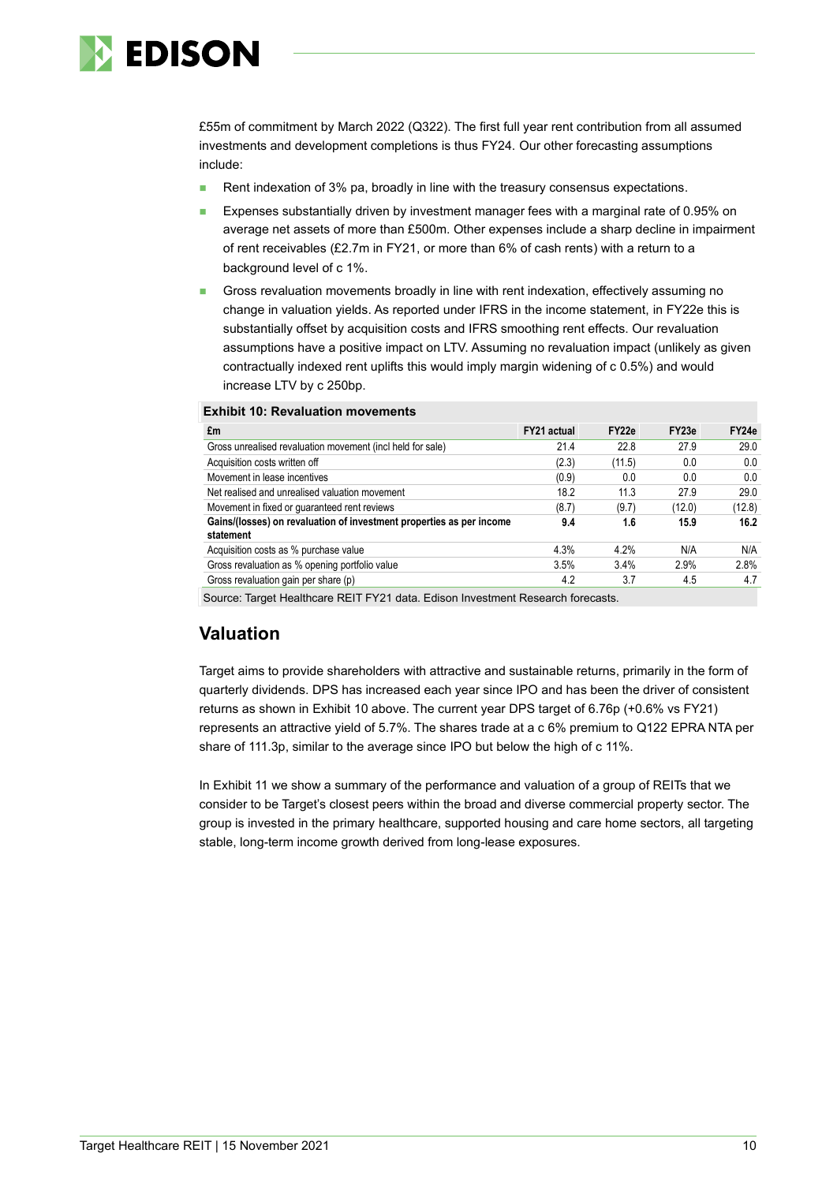

£55m of commitment by March 2022 (Q322). The first full year rent contribution from all assumed investments and development completions is thus FY24. Our other forecasting assumptions include:

- Rent indexation of 3% pa, broadly in line with the treasury consensus expectations.
- Expenses substantially driven by investment manager fees with a marginal rate of 0.95% on average net assets of more than £500m. Other expenses include a sharp decline in impairment of rent receivables (£2.7m in FY21, or more than 6% of cash rents) with a return to a background level of c 1%.
- Gross revaluation movements broadly in line with rent indexation, effectively assuming no change in valuation yields. As reported under IFRS in the income statement, in FY22e this is substantially offset by acquisition costs and IFRS smoothing rent effects. Our revaluation assumptions have a positive impact on LTV. Assuming no revaluation impact (unlikely as given contractually indexed rent uplifts this would imply margin widening of c 0.5%) and would increase LTV by c 250bp.

#### **Exhibit 10: Revaluation movements**

| £m                                                                                | <b>FY21 actual</b> | FY <sub>22e</sub> | FY <sub>23e</sub> | FY <sub>24e</sub> |
|-----------------------------------------------------------------------------------|--------------------|-------------------|-------------------|-------------------|
| Gross unrealised revaluation movement (incl held for sale)                        | 21.4               | 22.8              | 27.9              | 29.0              |
| Acquisition costs written off                                                     | (2.3)              | (11.5)            | 0.0               | 0.0               |
| Movement in lease incentives                                                      | (0.9)              | 0.0               | 0.0               | 0.0               |
| Net realised and unrealised valuation movement                                    | 18.2               | 11.3              | 27.9              | 29.0              |
| Movement in fixed or guaranteed rent reviews                                      | (8.7)              | (9.7)             | (12.0)            | (12.8)            |
| Gains/(losses) on revaluation of investment properties as per income<br>statement | 9.4                | 1.6               | 15.9              | 16.2              |
| Acquisition costs as % purchase value                                             | 4.3%               | 4 2%              | N/A               | N/A               |
| Gross revaluation as % opening portfolio value                                    | 3.5%               | 3.4%              | 2.9%              | 2.8%              |
| Gross revaluation gain per share (p)                                              | 4.2                | 3.7               | 4.5               | 4.7               |

Source: Target Healthcare REIT FY21 data. Edison Investment Research forecasts.

### **Valuation**

Target aims to provide shareholders with attractive and sustainable returns, primarily in the form of quarterly dividends. DPS has increased each year since IPO and has been the driver of consistent returns as shown in Exhibit 10 above. The current year DPS target of 6.76p (+0.6% vs FY21) represents an attractive yield of 5.7%. The shares trade at a c 6% premium to Q122 EPRA NTA per share of 111.3p, similar to the average since IPO but below the high of c 11%.

In Exhibit 11 we show a summary of the performance and valuation of a group of REITs that we consider to be Target's closest peers within the broad and diverse commercial property sector. The group is invested in the primary healthcare, supported housing and care home sectors, all targeting stable, long-term income growth derived from long-lease exposures.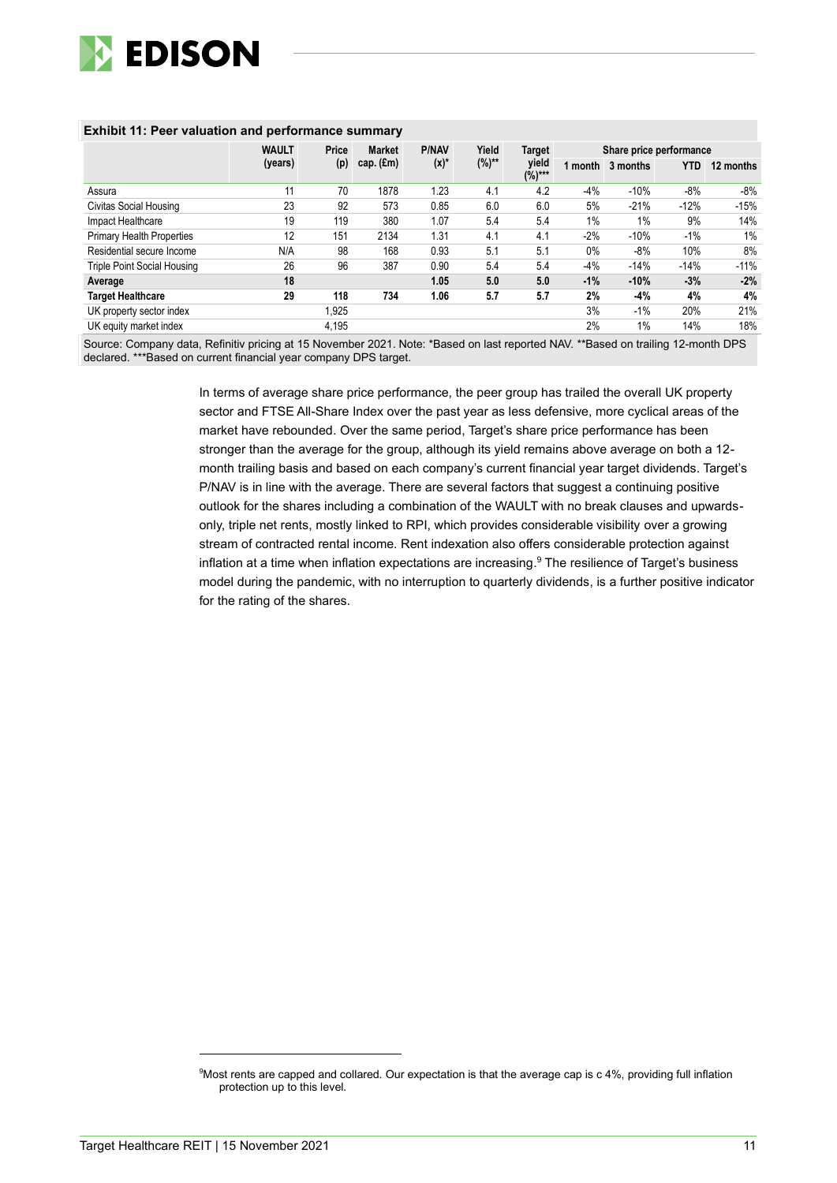

|                                    | <b>WAULT</b> | Price | <b>Market</b>      | <b>P/NAV</b> | Yield      | Target            | Share price performance |          |            |           |
|------------------------------------|--------------|-------|--------------------|--------------|------------|-------------------|-------------------------|----------|------------|-----------|
|                                    | (years)      | (p)   | cap. $(\text{Em})$ | $(x)^*$      | $(%)^{**}$ | yield<br>$(%)***$ | 1 month                 | 3 months | <b>YTD</b> | 12 months |
| Assura                             | 11           | 70    | 1878               | 1.23         | 4.1        | 4.2               | $-4%$                   | $-10%$   | $-8%$      | -8%       |
| Civitas Social Housing             | 23           | 92    | 573                | 0.85         | 6.0        | 6.0               | 5%                      | $-21%$   | $-12%$     | $-15%$    |
| Impact Healthcare                  | 19           | 119   | 380                | 1.07         | 5.4        | 5.4               | $1\%$                   | 1%       | 9%         | 14%       |
| <b>Primary Health Properties</b>   | 12           | 151   | 2134               | 1.31         | 4.1        | 4.1               | $-2%$                   | $-10%$   | $-1\%$     | 1%        |
| Residential secure Income          | N/A          | 98    | 168                | 0.93         | 5.1        | 5.1               | $0\%$                   | $-8%$    | 10%        | 8%        |
| <b>Triple Point Social Housing</b> | 26           | 96    | 387                | 0.90         | 5.4        | 5.4               | $-4%$                   | $-14%$   | $-14%$     | $-11%$    |
| Average                            | 18           |       |                    | 1.05         | 5.0        | 5.0               | $-1%$                   | $-10%$   | $-3%$      | $-2%$     |
| <b>Target Healthcare</b>           | 29           | 118   | 734                | 1.06         | 5.7        | 5.7               | 2%                      | $-4%$    | 4%         | 4%        |
| UK property sector index           |              | 1.925 |                    |              |            |                   | 3%                      | $-1\%$   | 20%        | 21%       |
| UK equity market index             |              | 4,195 |                    |              |            |                   | 2%                      | $1\%$    | 14%        | 18%       |

#### **Exhibit 11: Peer valuation and performance summary**

Source: Company data, Refinitiv pricing at 15 November 2021. Note: \*Based on last reported NAV. \*\*Based on trailing 12-month DPS declared. \*\*\*Based on current financial year company DPS target.

> In terms of average share price performance, the peer group has trailed the overall UK property sector and FTSE All-Share Index over the past year as less defensive, more cyclical areas of the market have rebounded. Over the same period, Target's share price performance has been stronger than the average for the group, although its yield remains above average on both a 12 month trailing basis and based on each company's current financial year target dividends. Target's P/NAV is in line with the average. There are several factors that suggest a continuing positive outlook for the shares including a combination of the WAULT with no break clauses and upwardsonly, triple net rents, mostly linked to RPI, which provides considerable visibility over a growing stream of contracted rental income. Rent indexation also offers considerable protection against inflation at a time when inflation expectations are increasing. <sup>9</sup> The resilience of Target's business model during the pandemic, with no interruption to quarterly dividends, is a further positive indicator for the rating of the shares.

<sup>9</sup>Most rents are capped and collared. Our expectation is that the average cap is c 4%, providing full inflation protection up to this level.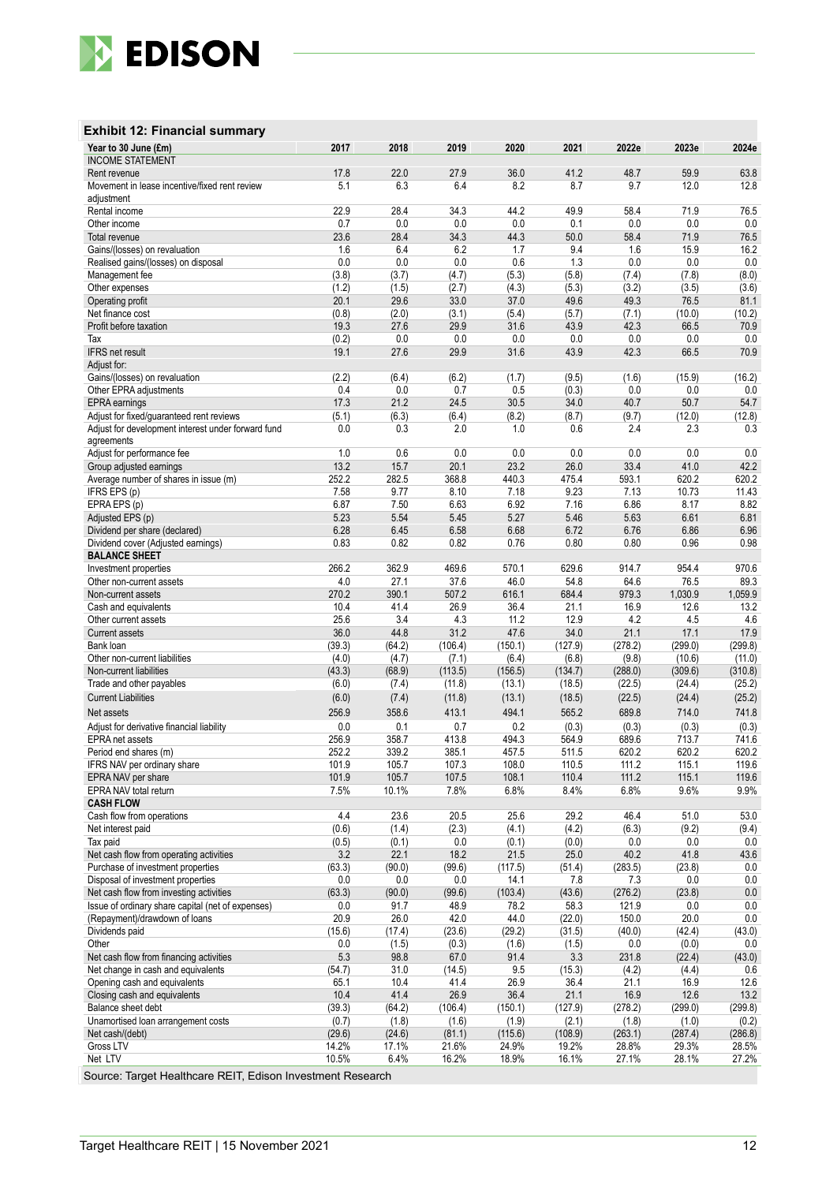

### **Exhibit 12: Financial summary**

| Year to 30 June (£m)                                                                           | 2017            | 2018            | 2019              | 2020              | 2021              | 2022e             | 2023e             | 2024e             |
|------------------------------------------------------------------------------------------------|-----------------|-----------------|-------------------|-------------------|-------------------|-------------------|-------------------|-------------------|
| <b>INCOME STATEMENT</b><br>Rent revenue                                                        | 17.8            | 22.0            | 27.9              | 36.0              | 41.2              | 48.7              | 59.9              | 63.8              |
| Movement in lease incentive/fixed rent review                                                  | 5.1             | 6.3             | 6.4               | 8.2               | 8.7               | 9.7               | 12.0              | 12.8              |
| adjustment                                                                                     |                 |                 |                   |                   |                   |                   |                   |                   |
| Rental income                                                                                  | 22.9            | 28.4            | 34.3              | 44.2              | 49.9              | 58.4              | 71.9              | 76.5              |
| Other income                                                                                   | 0.7             | 0.0             | 0.0               | 0.0               | 0.1               | 0.0               | 0.0               | $0.0\,$           |
| Total revenue                                                                                  | 23.6            | 28.4            | 34.3              | 44.3              | 50.0              | 58.4              | 71.9              | 76.5              |
| Gains/(losses) on revaluation                                                                  | 1.6             | 6.4             | 6.2               | 1.7               | 9.4               | 1.6               | 15.9              | 16.2              |
| Realised gains/(losses) on disposal                                                            | 0.0             | 0.0             | 0.0               | 0.6               | 1.3               | 0.0               | 0.0               | 0.0               |
| Management fee<br>Other expenses                                                               | (3.8)<br>(1.2)  | (3.7)<br>(1.5)  | (4.7)             | (5.3)             | (5.8)             | (7.4)             | (7.8)<br>(3.5)    | (8.0)             |
| Operating profit                                                                               | 20.1            | 29.6            | (2.7)<br>33.0     | (4.3)<br>37.0     | (5.3)<br>49.6     | (3.2)<br>49.3     | 76.5              | (3.6)<br>81.1     |
| Net finance cost                                                                               | (0.8)           | (2.0)           | (3.1)             | (5.4)             | (5.7)             | (7.1)             | (10.0)            | (10.2)            |
| Profit before taxation                                                                         | 19.3            | 27.6            | 29.9              | 31.6              | 43.9              | 42.3              | 66.5              | 70.9              |
| Tax                                                                                            | (0.2)           | 0.0             | 0.0               | 0.0               | 0.0               | 0.0               | 0.0               | 0.0               |
| <b>IFRS</b> net result                                                                         | 19.1            | 27.6            | 29.9              | 31.6              | 43.9              | 42.3              | 66.5              | 70.9              |
| Adjust for:                                                                                    |                 |                 |                   |                   |                   |                   |                   |                   |
| Gains/(losses) on revaluation                                                                  | (2.2)           | (6.4)           | (6.2)             | (1.7)             | (9.5)             | (1.6)             | (15.9)            | (16.2)            |
| Other EPRA adjustments                                                                         | 0.4             | 0.0             | 0.7               | 0.5               | (0.3)             | 0.0               | 0.0               | 0.0               |
| <b>EPRA</b> earnings                                                                           | 17.3            | 21.2            | 24.5              | 30.5              | 34.0              | 40.7              | 50.7              | 54.7              |
| Adjust for fixed/guaranteed rent reviews<br>Adjust for development interest under forward fund | (5.1)<br>0.0    | (6.3)<br>0.3    | (6.4)<br>2.0      | (8.2)<br>1.0      | (8.7)<br>0.6      | (9.7)<br>2.4      | (12.0)<br>2.3     | (12.8)<br>0.3     |
| agreements                                                                                     |                 |                 |                   |                   |                   |                   |                   |                   |
| Adjust for performance fee                                                                     | 1.0             | 0.6             | 0.0               | 0.0               | 0.0               | 0.0               | 0.0               | 0.0               |
| Group adjusted earnings                                                                        | 13.2            | 15.7            | 20.1              | 23.2              | 26.0              | 33.4              | 41.0              | 42.2              |
| Average number of shares in issue (m)                                                          | 252.2           | 282.5           | 368.8             | 440.3             | 475.4             | 593.1             | 620.2             | 620.2             |
| IFRS EPS (p)                                                                                   | 7.58            | 9.77            | 8.10              | 7.18              | 9.23              | 7.13              | 10.73             | 11.43             |
| EPRAEPS (p)                                                                                    | 6.87            | 7.50            | 6.63              | 6.92              | 7.16              | 6.86              | 8.17              | 8.82              |
| Adjusted EPS (p)                                                                               | 5.23            | 5.54            | 5.45              | 5.27              | 5.46              | 5.63              | 6.61              | 6.81              |
| Dividend per share (declared)                                                                  | 6.28            | 6.45<br>0.82    | 6.58              | 6.68              | 6.72              | 6.76              | 6.86<br>0.96      | 6.96<br>0.98      |
| Dividend cover (Adjusted earnings)<br><b>BALANCE SHEET</b>                                     | 0.83            |                 | 0.82              | 0.76              | 0.80              | 0.80              |                   |                   |
| Investment properties                                                                          | 266.2           | 362.9           | 469.6             | 570.1             | 629.6             | 914.7             | 954.4             | 970.6             |
| Other non-current assets                                                                       | 4.0             | 27.1            | 37.6              | 46.0              | 54.8              | 64.6              | 76.5              | 89.3              |
| Non-current assets                                                                             | 270.2           | 390.1           | 507.2             | 616.1             | 684.4             | 979.3             | 1,030.9           | 1,059.9           |
| Cash and equivalents                                                                           | 10.4            | 41.4            | 26.9              | 36.4              | 21.1              | 16.9              | 12.6              | 13.2              |
| Other current assets                                                                           | 25.6            | 3.4             | 4.3               | 11.2              | 12.9              | 4.2               | 4.5               | 4.6               |
| <b>Current assets</b>                                                                          | 36.0            | 44.8            | 31.2              | 47.6              | 34.0              | 21.1              | 17.1              | 17.9              |
| Bank loan                                                                                      | (39.3)          | (64.2)          | (106.4)           | (150.1)           | (127.9)           | (278.2)           | (299.0)           | (299.8)           |
| Other non-current liabilities<br>Non-current liabilities                                       | (4.0)           | (4.7)           | (7.1)             | (6.4)             | (6.8)             | (9.8)             | (10.6)            | (11.0)            |
| Trade and other payables                                                                       | (43.3)<br>(6.0) | (68.9)<br>(7.4) | (113.5)<br>(11.8) | (156.5)<br>(13.1) | (134.7)<br>(18.5) | (288.0)<br>(22.5) | (309.6)<br>(24.4) | (310.8)<br>(25.2) |
| <b>Current Liabilities</b>                                                                     | (6.0)           | (7.4)           | (11.8)            | (13.1)            | (18.5)            | (22.5)            | (24.4)            | (25.2)            |
| Net assets                                                                                     | 256.9           | 358.6           | 413.1             | 494.1             | 565.2             | 689.8             | 714.0             | 741.8             |
| Adjust for derivative financial liability                                                      | 0.0             | 0.1             | 0.7               | 0.2               | (0.3)             | (0.3)             | (0.3)             | (0.3)             |
| <b>EPRA</b> net assets                                                                         | 256.9           | 358.7           | 413.8             | 494.3             | 564.9             | 689.6             | 713.7             | 741.6             |
| Period end shares (m)                                                                          | 252.2           | 339.2           | 385.1             | 457.5             | 511.5             | 620.2             | 620.2             | 620.2             |
| IFRS NAV per ordinary share                                                                    | 101.9           | 105.7           | 107.3             | 108.0             | 110.5             | 111.2             | 115.1             | 119.6             |
| EPRA NAV per share                                                                             | 101.9           | 105.7           | 107.5             | 108.1             | 110.4             | 111.2             | 115.1             | 119.6             |
| EPRA NAV total return                                                                          | 7.5%            | 10.1%           | 7.8%              | 6.8%              | 8.4%              | 6.8%              | 9.6%              | 9.9%              |
| <b>CASH FLOW</b>                                                                               |                 |                 |                   |                   |                   |                   |                   |                   |
| Cash flow from operations<br>Net interest paid                                                 | 4.4<br>(0.6)    | 23.6<br>(1.4)   | 20.5<br>(2.3)     | 25.6<br>(4.1)     | 29.2<br>(4.2)     | 46.4<br>(6.3)     | 51.0<br>(9.2)     | 53.0<br>(9.4)     |
| Tax paid                                                                                       | (0.5)           | (0.1)           | 0.0               | (0.1)             | (0.0)             | 0.0               | 0.0               | 0.0               |
| Net cash flow from operating activities                                                        | 3.2             | 22.1            | 18.2              | 21.5              | 25.0              | 40.2              | 41.8              | 43.6              |
| Purchase of investment properties                                                              | (63.3)          | (90.0)          | (99.6)            | (117.5)           | (51.4)            | (283.5)           | (23.8)            | 0.0               |
| Disposal of investment properties                                                              | 0.0             | 0.0             | $0.0\,$           | 14.1              | 7.8               | 7.3               | 0.0               | $0.0\,$           |
| Net cash flow from investing activities                                                        | (63.3)          | (90.0)          | (99.6)            | (103.4)           | (43.6)            | (276.2)           | (23.8)            | 0.0               |
| Issue of ordinary share capital (net of expenses)                                              | 0.0             | 91.7            | 48.9              | 78.2              | 58.3              | 121.9             | 0.0               | 0.0               |
| (Repayment)/drawdown of loans                                                                  | 20.9            | 26.0            | 42.0              | 44.0              | (22.0)            | 150.0             | 20.0              | 0.0               |
| Dividends paid                                                                                 | (15.6)          | (17.4)          | (23.6)            | (29.2)            | (31.5)            | (40.0)            | (42.4)            | (43.0)            |
| Other                                                                                          | 0.0             | (1.5)           | (0.3)             | (1.6)             | (1.5)             | 0.0               | (0.0)             | 0.0               |
| Net cash flow from financing activities<br>Net change in cash and equivalents                  | 5.3<br>(54.7)   | 98.8<br>31.0    | 67.0<br>(14.5)    | 91.4<br>9.5       | 3.3<br>(15.3)     | 231.8<br>(4.2)    | (22.4)<br>(4.4)   | (43.0)<br>0.6     |
| Opening cash and equivalents                                                                   | 65.1            | 10.4            | 41.4              | 26.9              | 36.4              | 21.1              | 16.9              | 12.6              |
| Closing cash and equivalents                                                                   | 10.4            | 41.4            | 26.9              | 36.4              | 21.1              | 16.9              | 12.6              | 13.2              |
| Balance sheet debt                                                                             | (39.3)          | (64.2)          | (106.4)           | (150.1)           | (127.9)           | (278.2)           | (299.0)           | (299.8)           |
| Unamortised Ioan arrangement costs                                                             | (0.7)           | (1.8)           | (1.6)             | (1.9)             | (2.1)             | (1.8)             | (1.0)             | (0.2)             |
| Net cash/(debt)                                                                                | (29.6)          | (24.6)          | (81.1)            | (115.6)           | (108.9)           | (263.1)           | (287.4)           | (286.8)           |
| Gross LTV                                                                                      | 14.2%           | 17.1%           | 21.6%             | 24.9%             | 19.2%             | 28.8%             | 29.3%             | 28.5%             |
| Net LTV                                                                                        | 10.5%           | 6.4%            | 16.2%             | 18.9%             | 16.1%             | 27.1%             | 28.1%             | 27.2%             |

Source: Target Healthcare REIT, Edison Investment Research